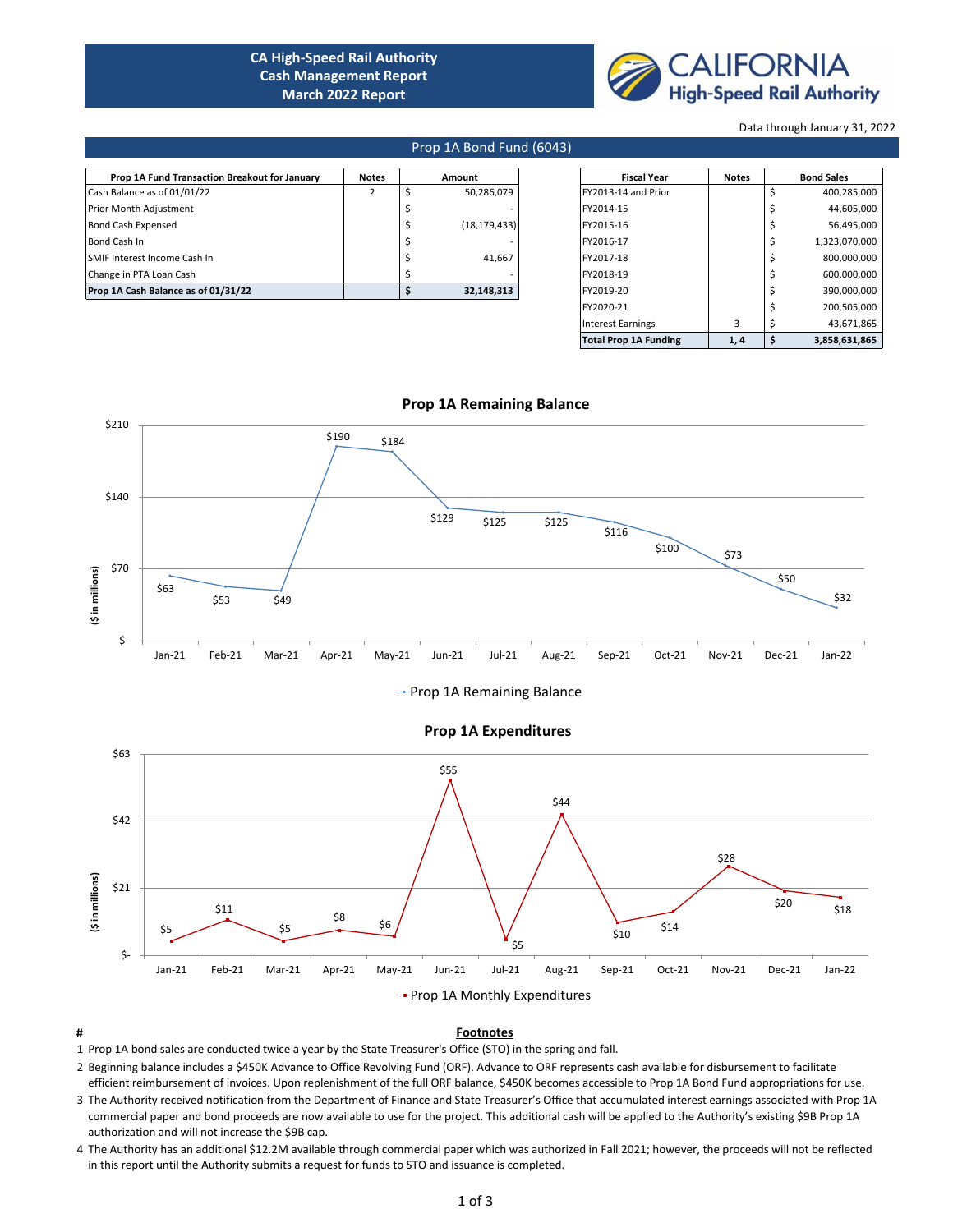# **CA High-Speed Rail Authority Cash Management Report March 2022 Report**



Data through January 31, 2022

### Prop 1A Bond Fund (6043)

| Prop 1A Fund Transaction Breakout for January | <b>Notes</b> | Amount |                |                     |  | <b>Fiscal Year</b> | <b>Notes</b>  | <b>Bond Sales</b> |  |
|-----------------------------------------------|--------------|--------|----------------|---------------------|--|--------------------|---------------|-------------------|--|
| Cash Balance as of 01/01/22                   |              |        | 50,286,079     | FY2013-14 and Prior |  |                    | 400,285,000   |                   |  |
| Prior Month Adjustment                        |              |        |                | FY2014-15           |  |                    | 44,605,000    |                   |  |
| <b>Bond Cash Expensed</b>                     |              |        | (18, 179, 433) | FY2015-16           |  |                    | 56,495,000    |                   |  |
| Bond Cash In                                  |              |        |                | FY2016-17           |  |                    | 1,323,070,000 |                   |  |
| SMIF Interest Income Cash In                  |              |        | 41.667         | FY2017-18           |  |                    | 800,000,000   |                   |  |
| Change in PTA Loan Cash                       |              |        |                | FY2018-19           |  |                    | 600,000,000   |                   |  |
| Prop 1A Cash Balance as of 01/31/22           |              |        | 32.148.313     | FY2019-20           |  |                    | 390,000,000   |                   |  |

| <b>Fiscal Year</b>           | <b>Notes</b> | <b>Bond Sales</b> |               |  |
|------------------------------|--------------|-------------------|---------------|--|
| FY2013-14 and Prior          |              | Ś                 | 400,285,000   |  |
| FY2014-15                    |              | Ś                 | 44,605,000    |  |
| FY2015-16                    |              | \$                | 56,495,000    |  |
| FY2016-17                    |              | \$                | 1,323,070,000 |  |
| FY2017-18                    |              | Ś                 | 800,000,000   |  |
| FY2018-19                    |              | Ś                 | 600,000,000   |  |
| FY2019-20                    |              | \$                | 390,000,000   |  |
| FY2020-21                    |              | \$                | 200,505,000   |  |
| <b>Interest Earnings</b>     | 3            | \$                | 43,671,865    |  |
| <b>Total Prop 1A Funding</b> | 1,4          | \$                | 3,858,631,865 |  |



 **Prop 1A Remaining Balance**

# +Prop 1A Remaining Balance



### **Prop 1A Expenditures**

## **# Footnotes**

- 1 Prop 1A bond sales are conducted twice a year by the State Treasurer's Office (STO) in the spring and fall.
- 2 Beginning balance includes a \$450K Advance to Office Revolving Fund (ORF). Advance to ORF represents cash available for disbursement to facilitate efficient reimbursement of invoices. Upon replenishment of the full ORF balance, \$450K becomes accessible to Prop 1A Bond Fund appropriations for use.
- 3 The Authority received notification from the Department of Finance and State Treasurer's Office that accumulated interest earnings associated with Prop 1A commercial paper and bond proceeds are now available to use for the project. This additional cash will be applied to the Authority's existing \$9B Prop 1A authorization and will not increase the \$9B cap.
- 4 The Authority has an additional \$12.2M available through commercial paper which was authorized in Fall 2021; however, the proceeds will not be reflected in this report until the Authority submits a request for funds to STO and issuance is completed.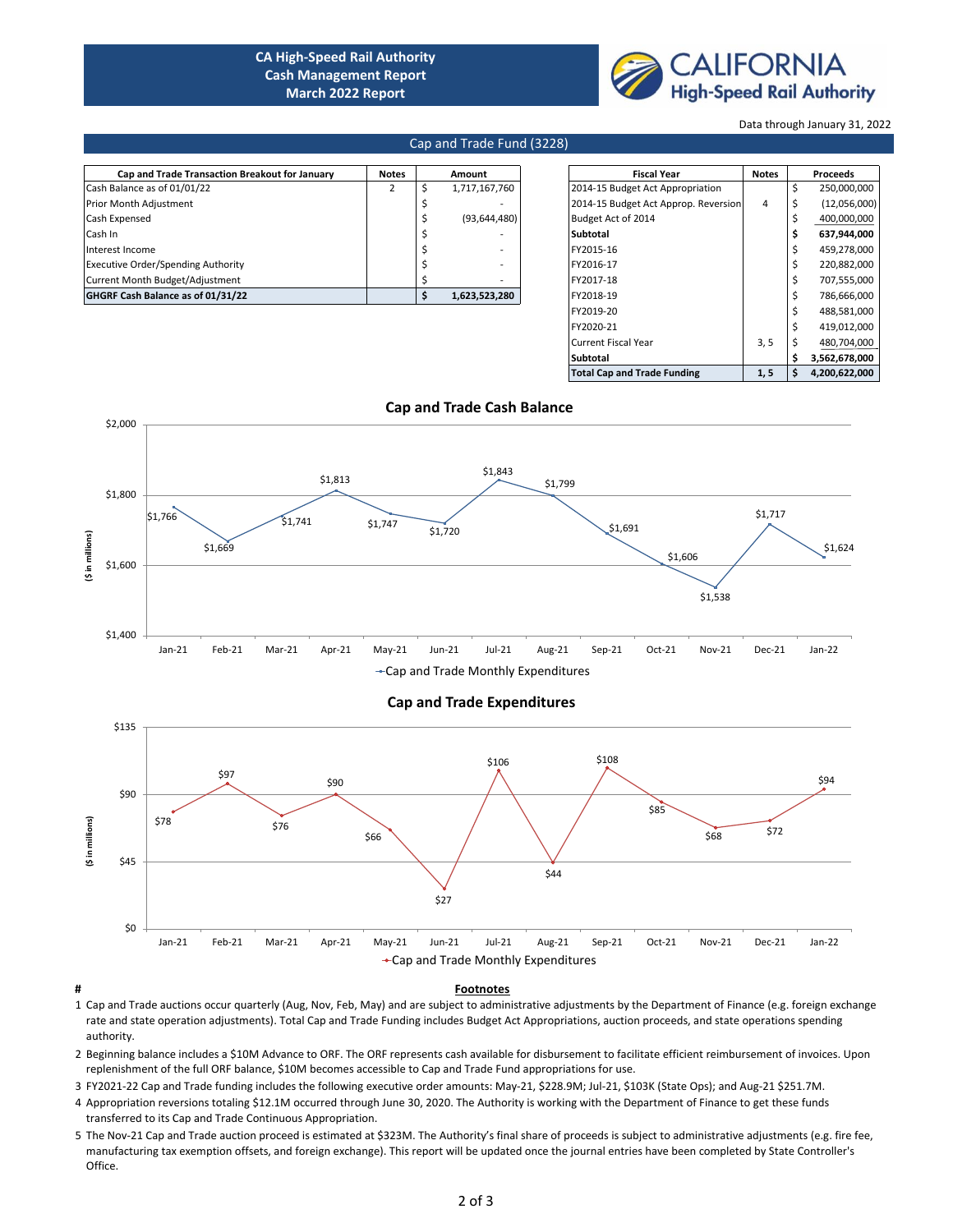# **CA High-Speed Rail Authority Cash Management Report March 2022 Report**



Data through January 31, 2022

### Cap and Trade Fund (3228)

| Cap and Trade Transaction Breakout for January | <b>Notes</b> | Amount                   | <b>Fiscal Year</b>                   | <b>Notes</b> | Proceeds          |
|------------------------------------------------|--------------|--------------------------|--------------------------------------|--------------|-------------------|
| Cash Balance as of 01/01/22                    |              | 1,717,167,760            | 2014-15 Budget Act Appropriation     |              | 250,000,000       |
| Prior Month Adjustment                         |              |                          | 2014-15 Budget Act Approp. Reversion | 4            | (12,056,000)      |
| Cash Expensed                                  |              | (93, 644, 480)           | Budget Act of 2014                   |              | 400,000,000       |
| Cash In                                        |              |                          | Subtotal                             |              | 637,944,000       |
| Interest Income                                |              |                          | FY2015-16                            |              | 459,278,000       |
| <b>Executive Order/Spending Authority</b>      |              | $\sim$                   | FY2016-17                            |              | 220,882,000       |
| Current Month Budget/Adjustment                |              | $\overline{\phantom{0}}$ | FY2017-18                            |              | 707,555,000       |
| GHGRF Cash Balance as of 01/31/22              |              | 1,623,523,280            | FY2018-19                            |              | 786,666,000       |
|                                                |              |                          |                                      |              | $\cdots$ $\cdots$ |

| <b>Fiscal Year</b>                   | <b>Notes</b> |    | <b>Proceeds</b> |
|--------------------------------------|--------------|----|-----------------|
| 2014-15 Budget Act Appropriation     |              | \$ | 250,000,000     |
| 2014-15 Budget Act Approp. Reversion | 4            | \$ | (12,056,000)    |
| Budget Act of 2014                   |              | \$ | 400,000,000     |
| Subtotal                             |              | \$ | 637,944,000     |
| FY2015-16                            |              | \$ | 459,278,000     |
| FY2016-17                            |              | \$ | 220,882,000     |
| FY2017-18                            |              | Ś  | 707,555,000     |
| FY2018-19                            |              | \$ | 786,666,000     |
| FY2019-20                            |              | \$ | 488,581,000     |
| FY2020-21                            |              | Ś  | 419,012,000     |
| Current Fiscal Year                  | 3, 5         | \$ | 480,704,000     |
| Subtotal                             |              | Ś  | 3,562,678,000   |
| <b>Total Cap and Trade Funding</b>   | 1, 5         | \$ | 4,200,622,000   |





-Cap and Trade Monthly Expenditures



#### **# Footnotes**

\$2,000

1 Cap and Trade auctions occur quarterly (Aug, Nov, Feb, May) and are subject to administrative adjustments by the Department of Finance (e.g. foreign exchange rate and state operation adjustments). Total Cap and Trade Funding includes Budget Act Appropriations, auction proceeds, and state operations spending authority.

2 Beginning balance includes a \$10M Advance to ORF. The ORF represents cash available for disbursement to facilitate efficient reimbursement of invoices. Upon replenishment of the full ORF balance, \$10M becomes accessible to Cap and Trade Fund appropriations for use.

3 FY2021-22 Cap and Trade funding includes the following executive order amounts: May-21, \$228.9M; Jul-21, \$103K (State Ops); and Aug-21 \$251.7M.

- 4 Appropriation reversions totaling \$12.1M occurred through June 30, 2020. The Authority is working with the Department of Finance to get these funds transferred to its Cap and Trade Continuous Appropriation.
- 5 The Nov-21 Cap and Trade auction proceed is estimated at \$323M. The Authority's final share of proceeds is subject to administrative adjustments (e.g. fire fee, manufacturing tax exemption offsets, and foreign exchange). This report will be updated once the journal entries have been completed by State Controller's Office.